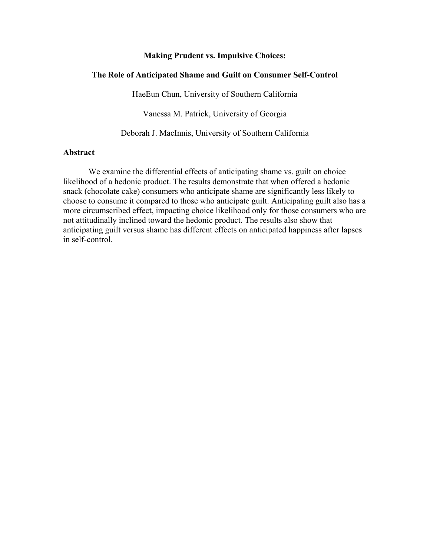# **Making Prudent vs. Impulsive Choices:**

# **The Role of Anticipated Shame and Guilt on Consumer Self-Control**

HaeEun Chun, University of Southern California

Vanessa M. Patrick, University of Georgia

Deborah J. MacInnis, University of Southern California

# **Abstract**

We examine the differential effects of anticipating shame vs. guilt on choice likelihood of a hedonic product. The results demonstrate that when offered a hedonic snack (chocolate cake) consumers who anticipate shame are significantly less likely to choose to consume it compared to those who anticipate guilt. Anticipating guilt also has a more circumscribed effect, impacting choice likelihood only for those consumers who are not attitudinally inclined toward the hedonic product. The results also show that anticipating guilt versus shame has different effects on anticipated happiness after lapses in self-control.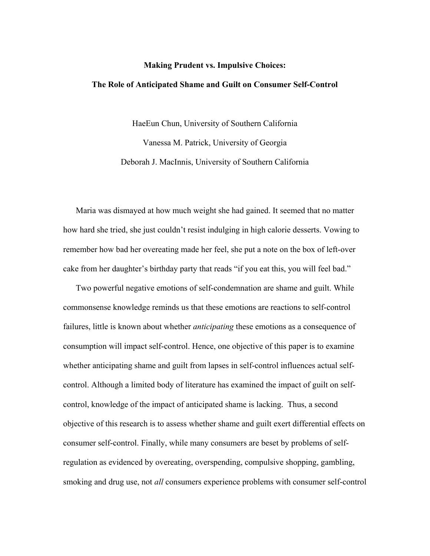# **Making Prudent vs. Impulsive Choices: The Role of Anticipated Shame and Guilt on Consumer Self-Control**

HaeEun Chun, University of Southern California Vanessa M. Patrick, University of Georgia Deborah J. MacInnis, University of Southern California

Maria was dismayed at how much weight she had gained. It seemed that no matter how hard she tried, she just couldn't resist indulging in high calorie desserts. Vowing to remember how bad her overeating made her feel, she put a note on the box of left-over cake from her daughter's birthday party that reads "if you eat this, you will feel bad."

Two powerful negative emotions of self-condemnation are shame and guilt. While commonsense knowledge reminds us that these emotions are reactions to self-control failures, little is known about whether *anticipating* these emotions as a consequence of consumption will impact self-control. Hence, one objective of this paper is to examine whether anticipating shame and guilt from lapses in self-control influences actual selfcontrol. Although a limited body of literature has examined the impact of guilt on selfcontrol, knowledge of the impact of anticipated shame is lacking. Thus, a second objective of this research is to assess whether shame and guilt exert differential effects on consumer self-control. Finally, while many consumers are beset by problems of selfregulation as evidenced by overeating, overspending, compulsive shopping, gambling, smoking and drug use, not *all* consumers experience problems with consumer self-control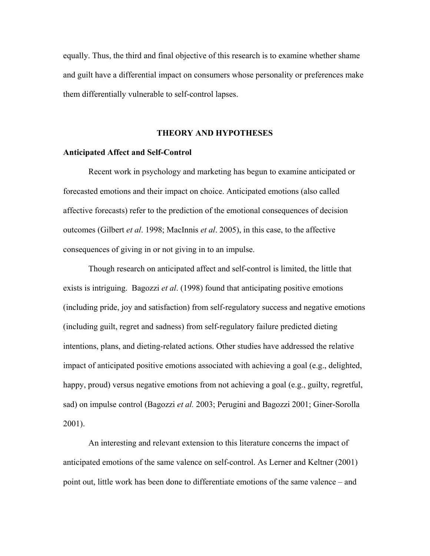equally. Thus, the third and final objective of this research is to examine whether shame and guilt have a differential impact on consumers whose personality or preferences make them differentially vulnerable to self-control lapses.

# **THEORY AND HYPOTHESES**

#### **Anticipated Affect and Self-Control**

Recent work in psychology and marketing has begun to examine anticipated or forecasted emotions and their impact on choice. Anticipated emotions (also called affective forecasts) refer to the prediction of the emotional consequences of decision outcomes (Gilbert *et al*. 1998; MacInnis *et al*. 2005), in this case, to the affective consequences of giving in or not giving in to an impulse.

Though research on anticipated affect and self-control is limited, the little that exists is intriguing. Bagozzi *et al*. (1998) found that anticipating positive emotions (including pride, joy and satisfaction) from self-regulatory success and negative emotions (including guilt, regret and sadness) from self-regulatory failure predicted dieting intentions, plans, and dieting-related actions. Other studies have addressed the relative impact of anticipated positive emotions associated with achieving a goal (e.g., delighted, happy, proud) versus negative emotions from not achieving a goal (e.g., guilty, regretful, sad) on impulse control (Bagozzi *et al.* 2003; Perugini and Bagozzi 2001; Giner-Sorolla 2001).

An interesting and relevant extension to this literature concerns the impact of anticipated emotions of the same valence on self-control. As Lerner and Keltner (2001) point out, little work has been done to differentiate emotions of the same valence – and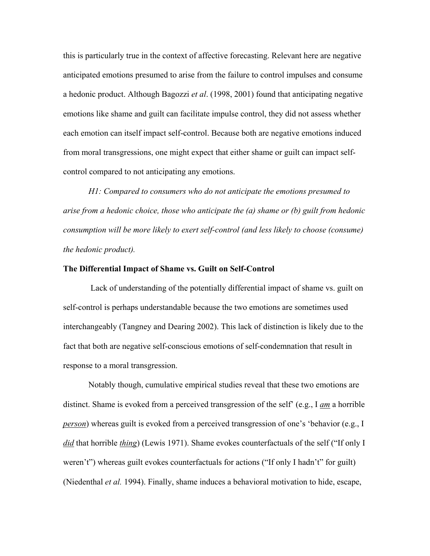this is particularly true in the context of affective forecasting. Relevant here are negative anticipated emotions presumed to arise from the failure to control impulses and consume a hedonic product. Although Bagozzi *et al*. (1998, 2001) found that anticipating negative emotions like shame and guilt can facilitate impulse control, they did not assess whether each emotion can itself impact self-control. Because both are negative emotions induced from moral transgressions, one might expect that either shame or guilt can impact selfcontrol compared to not anticipating any emotions.

*H1: Compared to consumers who do not anticipate the emotions presumed to arise from a hedonic choice, those who anticipate the (a) shame or (b) guilt from hedonic consumption will be more likely to exert self-control (and less likely to choose (consume) the hedonic product).* 

#### **The Differential Impact of Shame vs. Guilt on Self-Control**

 Lack of understanding of the potentially differential impact of shame vs. guilt on self-control is perhaps understandable because the two emotions are sometimes used interchangeably (Tangney and Dearing 2002). This lack of distinction is likely due to the fact that both are negative self-conscious emotions of self-condemnation that result in response to a moral transgression.

Notably though, cumulative empirical studies reveal that these two emotions are distinct. Shame is evoked from a perceived transgression of the self' (e.g., I *am* a horrible *person*) whereas guilt is evoked from a perceived transgression of one's 'behavior (e.g., I *did* that horrible *thing*) (Lewis 1971). Shame evokes counterfactuals of the self ("If only I weren't") whereas guilt evokes counterfactuals for actions ("If only I hadn't" for guilt) (Niedenthal *et al.* 1994). Finally, shame induces a behavioral motivation to hide, escape,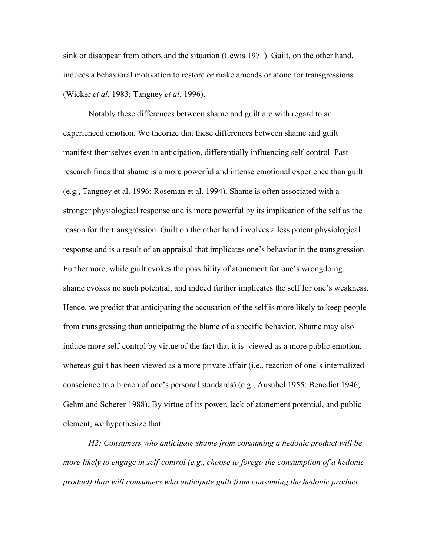sink or disappear from others and the situation (Lewis 1971). Guilt, on the other hand, induces a behavioral motivation to restore or make amends or atone for transgressions (Wicker *et al*. 1983; Tangney *et al*. 1996).

Notably these differences between shame and guilt are with regard to an experienced emotion. We theorize that these differences between shame and guilt manifest themselves even in anticipation, differentially influencing self-control. Past research finds that shame is a more powerful and intense emotional experience than guilt (e.g., Tangney et al. 1996; Roseman et al. 1994). Shame is often associated with a stronger physiological response and is more powerful by its implication of the self as the reason for the transgression. Guilt on the other hand involves a less potent physiological response and is a result of an appraisal that implicates one's behavior in the transgression. Furthermore, while guilt evokes the possibility of atonement for one's wrongdoing, shame evokes no such potential, and indeed further implicates the self for one's weakness. Hence, we predict that anticipating the accusation of the self is more likely to keep people from transgressing than anticipating the blame of a specific behavior. Shame may also induce more self-control by virtue of the fact that it is viewed as a more public emotion, whereas guilt has been viewed as a more private affair (i.e., reaction of one's internalized conscience to a breach of one's personal standards) (e.g., Ausubel 1955; Benedict 1946; Gehm and Scherer 1988). By virtue of its power, lack of atonement potential, and public element, we hypothesize that:

*H2: Consumers who anticipate shame from consuming a hedonic product will be more likely to engage in self-control (e.g., choose to forego the consumption of a hedonic product) than will consumers who anticipate guilt from consuming the hedonic product.*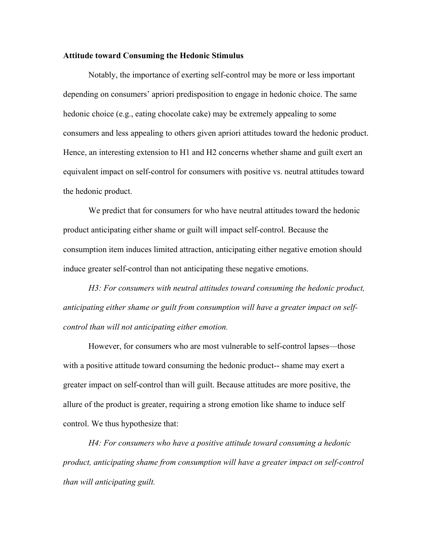### **Attitude toward Consuming the Hedonic Stimulus**

Notably, the importance of exerting self-control may be more or less important depending on consumers' apriori predisposition to engage in hedonic choice. The same hedonic choice (e.g., eating chocolate cake) may be extremely appealing to some consumers and less appealing to others given apriori attitudes toward the hedonic product. Hence, an interesting extension to H1 and H2 concerns whether shame and guilt exert an equivalent impact on self-control for consumers with positive vs. neutral attitudes toward the hedonic product.

We predict that for consumers for who have neutral attitudes toward the hedonic product anticipating either shame or guilt will impact self-control. Because the consumption item induces limited attraction, anticipating either negative emotion should induce greater self-control than not anticipating these negative emotions.

*H3: For consumers with neutral attitudes toward consuming the hedonic product, anticipating either shame or guilt from consumption will have a greater impact on selfcontrol than will not anticipating either emotion.* 

However, for consumers who are most vulnerable to self-control lapses—those with a positive attitude toward consuming the hedonic product-- shame may exert a greater impact on self-control than will guilt. Because attitudes are more positive, the allure of the product is greater, requiring a strong emotion like shame to induce self control. We thus hypothesize that:

*H4: For consumers who have a positive attitude toward consuming a hedonic product, anticipating shame from consumption will have a greater impact on self-control than will anticipating guilt.*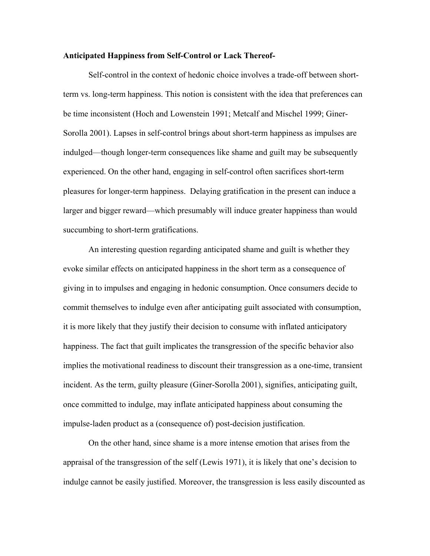### **Anticipated Happiness from Self-Control or Lack Thereof-**

Self-control in the context of hedonic choice involves a trade-off between shortterm vs. long-term happiness. This notion is consistent with the idea that preferences can be time inconsistent (Hoch and Lowenstein 1991; Metcalf and Mischel 1999; Giner-Sorolla 2001). Lapses in self-control brings about short-term happiness as impulses are indulged—though longer-term consequences like shame and guilt may be subsequently experienced. On the other hand, engaging in self-control often sacrifices short-term pleasures for longer-term happiness. Delaying gratification in the present can induce a larger and bigger reward—which presumably will induce greater happiness than would succumbing to short-term gratifications.

An interesting question regarding anticipated shame and guilt is whether they evoke similar effects on anticipated happiness in the short term as a consequence of giving in to impulses and engaging in hedonic consumption. Once consumers decide to commit themselves to indulge even after anticipating guilt associated with consumption, it is more likely that they justify their decision to consume with inflated anticipatory happiness. The fact that guilt implicates the transgression of the specific behavior also implies the motivational readiness to discount their transgression as a one-time, transient incident. As the term, guilty pleasure (Giner-Sorolla 2001), signifies, anticipating guilt, once committed to indulge, may inflate anticipated happiness about consuming the impulse-laden product as a (consequence of) post-decision justification.

On the other hand, since shame is a more intense emotion that arises from the appraisal of the transgression of the self (Lewis 1971), it is likely that one's decision to indulge cannot be easily justified. Moreover, the transgression is less easily discounted as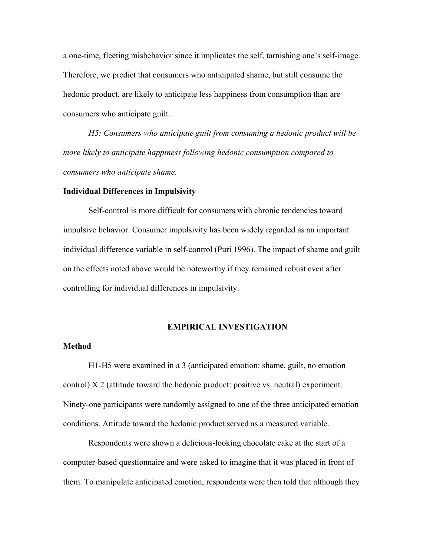a one-time, fleeting misbehavior since it implicates the self, tarnishing one's self-image. Therefore, we predict that consumers who anticipated shame, but still consume the hedonic product, are likely to anticipate less happiness from consumption than are consumers who anticipate guilt.

*H5: Consumers who anticipate guilt from consuming a hedonic product will be more likely to anticipate happiness following hedonic consumption compared to consumers who anticipate shame.* 

#### **Individual Differences in Impulsivity**

Self-control is more difficult for consumers with chronic tendencies toward impulsive behavior. Consumer impulsivity has been widely regarded as an important individual difference variable in self-control (Puri 1996). The impact of shame and guilt on the effects noted above would be noteworthy if they remained robust even after controlling for individual differences in impulsivity.

### **EMPIRICAL INVESTIGATION**

### **Method**

H1-H5 were examined in a 3 (anticipated emotion: shame, guilt, no emotion control) X 2 (attitude toward the hedonic product: positive vs. neutral) experiment. Ninety-one participants were randomly assigned to one of the three anticipated emotion conditions. Attitude toward the hedonic product served as a measured variable.

Respondents were shown a delicious-looking chocolate cake at the start of a computer-based questionnaire and were asked to imagine that it was placed in front of them. To manipulate anticipated emotion, respondents were then told that although they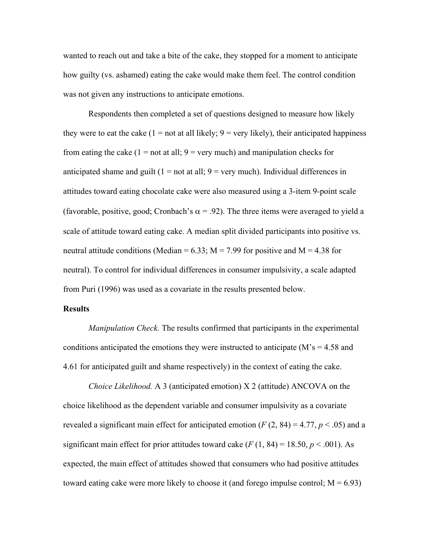wanted to reach out and take a bite of the cake, they stopped for a moment to anticipate how guilty (vs. ashamed) eating the cake would make them feel. The control condition was not given any instructions to anticipate emotions.

Respondents then completed a set of questions designed to measure how likely they were to eat the cake  $(1 = not at all likely; 9 = very likely)$ , their anticipated happiness from eating the cake  $(1 = not at all; 9 = very much)$  and manipulation checks for anticipated shame and guilt  $(1 = not at all; 9 = very much)$ . Individual differences in attitudes toward eating chocolate cake were also measured using a 3-item 9-point scale (favorable, positive, good; Cronbach's  $\alpha$  = .92). The three items were averaged to yield a scale of attitude toward eating cake. A median split divided participants into positive vs. neutral attitude conditions (Median =  $6.33$ ; M = 7.99 for positive and M = 4.38 for neutral). To control for individual differences in consumer impulsivity, a scale adapted from Puri (1996) was used as a covariate in the results presented below.

# **Results**

*Manipulation Check.* The results confirmed that participants in the experimental conditions anticipated the emotions they were instructed to anticipate  $(M's = 4.58$  and 4.61 for anticipated guilt and shame respectively) in the context of eating the cake.

*Choice Likelihood.* A 3 (anticipated emotion) X 2 (attitude) ANCOVA on the choice likelihood as the dependent variable and consumer impulsivity as a covariate revealed a significant main effect for anticipated emotion  $(F(2, 84) = 4.77, p < .05)$  and a significant main effect for prior attitudes toward cake  $(F(1, 84) = 18.50, p \le 0.001)$ . As expected, the main effect of attitudes showed that consumers who had positive attitudes toward eating cake were more likely to choose it (and forego impulse control;  $M = 6.93$ )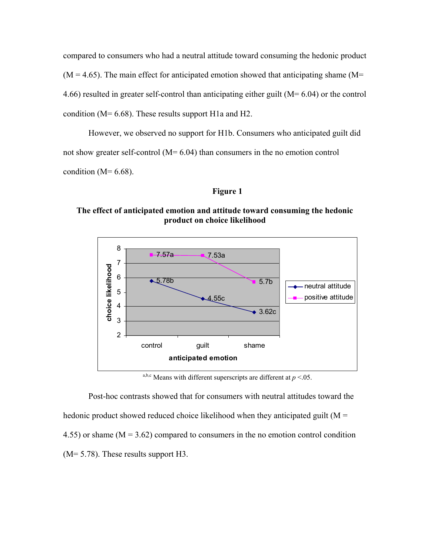compared to consumers who had a neutral attitude toward consuming the hedonic product  $(M = 4.65)$ . The main effect for anticipated emotion showed that anticipating shame  $(M = 4.65)$ 4.66) resulted in greater self-control than anticipating either guilt (M= 6.04) or the control condition (M= 6.68). These results support H1a and H2.

However, we observed no support for H1b. Consumers who anticipated guilt did not show greater self-control (M= 6.04) than consumers in the no emotion control condition ( $M=6.68$ ).

# **Figure 1**

# **The effect of anticipated emotion and attitude toward consuming the hedonic product on choice likelihood**



<sup>a,b,c</sup> Means with different superscripts are different at  $p < 0.05$ .

Post-hoc contrasts showed that for consumers with neutral attitudes toward the hedonic product showed reduced choice likelihood when they anticipated guilt ( $M =$ 4.55) or shame  $(M = 3.62)$  compared to consumers in the no emotion control condition (M= 5.78). These results support H3.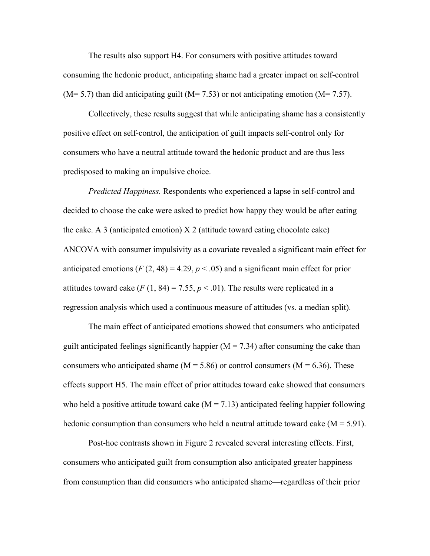The results also support H4. For consumers with positive attitudes toward consuming the hedonic product, anticipating shame had a greater impact on self-control  $(M= 5.7)$  than did anticipating guilt  $(M= 7.53)$  or not anticipating emotion  $(M= 7.57)$ .

Collectively, these results suggest that while anticipating shame has a consistently positive effect on self-control, the anticipation of guilt impacts self-control only for consumers who have a neutral attitude toward the hedonic product and are thus less predisposed to making an impulsive choice.

*Predicted Happiness.* Respondents who experienced a lapse in self-control and decided to choose the cake were asked to predict how happy they would be after eating the cake. A 3 (anticipated emotion) X 2 (attitude toward eating chocolate cake) ANCOVA with consumer impulsivity as a covariate revealed a significant main effect for anticipated emotions  $(F(2, 48) = 4.29, p < .05)$  and a significant main effect for prior attitudes toward cake  $(F(1, 84) = 7.55, p < .01)$ . The results were replicated in a regression analysis which used a continuous measure of attitudes (vs. a median split).

The main effect of anticipated emotions showed that consumers who anticipated guilt anticipated feelings significantly happier  $(M = 7.34)$  after consuming the cake than consumers who anticipated shame ( $M = 5.86$ ) or control consumers ( $M = 6.36$ ). These effects support H5. The main effect of prior attitudes toward cake showed that consumers who held a positive attitude toward cake  $(M = 7.13)$  anticipated feeling happier following hedonic consumption than consumers who held a neutral attitude toward cake  $(M = 5.91)$ .

 Post-hoc contrasts shown in Figure 2 revealed several interesting effects. First, consumers who anticipated guilt from consumption also anticipated greater happiness from consumption than did consumers who anticipated shame—regardless of their prior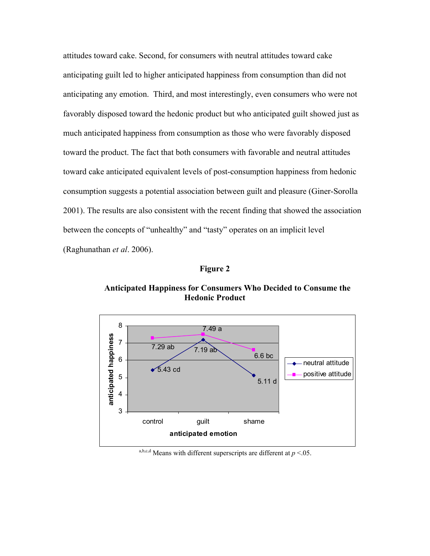attitudes toward cake. Second, for consumers with neutral attitudes toward cake anticipating guilt led to higher anticipated happiness from consumption than did not anticipating any emotion. Third, and most interestingly, even consumers who were not favorably disposed toward the hedonic product but who anticipated guilt showed just as much anticipated happiness from consumption as those who were favorably disposed toward the product. The fact that both consumers with favorable and neutral attitudes toward cake anticipated equivalent levels of post-consumption happiness from hedonic consumption suggests a potential association between guilt and pleasure (Giner-Sorolla 2001). The results are also consistent with the recent finding that showed the association between the concepts of "unhealthy" and "tasty" operates on an implicit level (Raghunathan *et al*. 2006).

**Figure 2** 

**Anticipated Happiness for Consumers Who Decided to Consume the Hedonic Product** 



a,b,c,d Means with different superscripts are different at  $p < 0.05$ .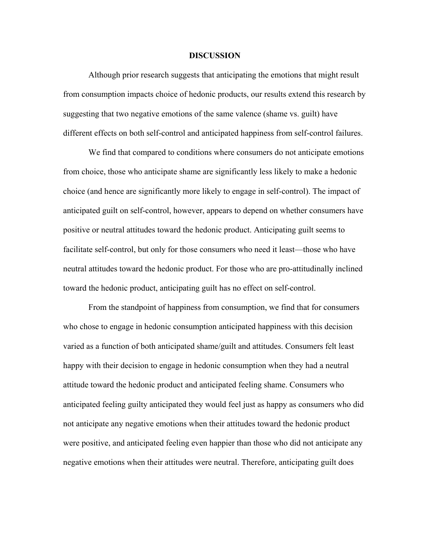#### **DISCUSSION**

Although prior research suggests that anticipating the emotions that might result from consumption impacts choice of hedonic products, our results extend this research by suggesting that two negative emotions of the same valence (shame vs. guilt) have different effects on both self-control and anticipated happiness from self-control failures.

We find that compared to conditions where consumers do not anticipate emotions from choice, those who anticipate shame are significantly less likely to make a hedonic choice (and hence are significantly more likely to engage in self-control). The impact of anticipated guilt on self-control, however, appears to depend on whether consumers have positive or neutral attitudes toward the hedonic product. Anticipating guilt seems to facilitate self-control, but only for those consumers who need it least—those who have neutral attitudes toward the hedonic product. For those who are pro-attitudinally inclined toward the hedonic product, anticipating guilt has no effect on self-control.

From the standpoint of happiness from consumption, we find that for consumers who chose to engage in hedonic consumption anticipated happiness with this decision varied as a function of both anticipated shame/guilt and attitudes. Consumers felt least happy with their decision to engage in hedonic consumption when they had a neutral attitude toward the hedonic product and anticipated feeling shame. Consumers who anticipated feeling guilty anticipated they would feel just as happy as consumers who did not anticipate any negative emotions when their attitudes toward the hedonic product were positive, and anticipated feeling even happier than those who did not anticipate any negative emotions when their attitudes were neutral. Therefore, anticipating guilt does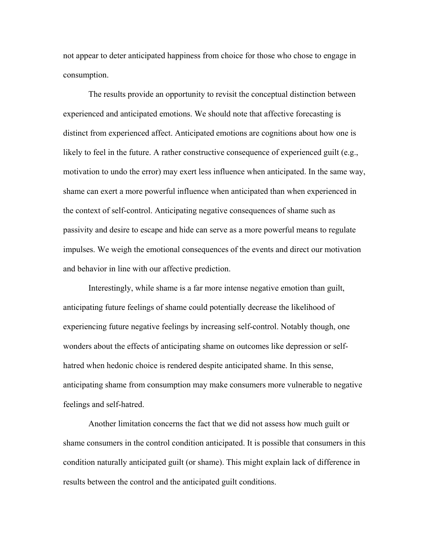not appear to deter anticipated happiness from choice for those who chose to engage in consumption.

The results provide an opportunity to revisit the conceptual distinction between experienced and anticipated emotions. We should note that affective forecasting is distinct from experienced affect. Anticipated emotions are cognitions about how one is likely to feel in the future. A rather constructive consequence of experienced guilt (e.g., motivation to undo the error) may exert less influence when anticipated. In the same way, shame can exert a more powerful influence when anticipated than when experienced in the context of self-control. Anticipating negative consequences of shame such as passivity and desire to escape and hide can serve as a more powerful means to regulate impulses. We weigh the emotional consequences of the events and direct our motivation and behavior in line with our affective prediction.

Interestingly, while shame is a far more intense negative emotion than guilt, anticipating future feelings of shame could potentially decrease the likelihood of experiencing future negative feelings by increasing self-control. Notably though, one wonders about the effects of anticipating shame on outcomes like depression or selfhatred when hedonic choice is rendered despite anticipated shame. In this sense, anticipating shame from consumption may make consumers more vulnerable to negative feelings and self-hatred.

Another limitation concerns the fact that we did not assess how much guilt or shame consumers in the control condition anticipated. It is possible that consumers in this condition naturally anticipated guilt (or shame). This might explain lack of difference in results between the control and the anticipated guilt conditions.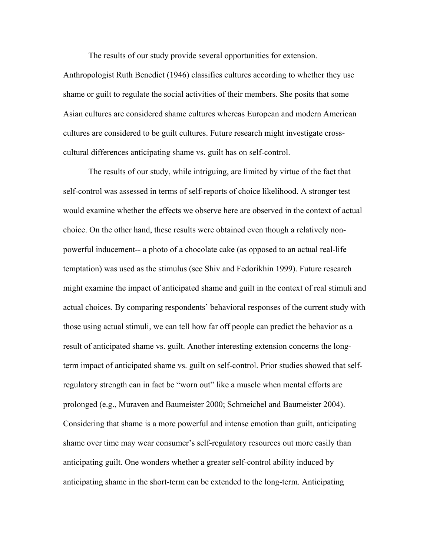The results of our study provide several opportunities for extension.

Anthropologist Ruth Benedict (1946) classifies cultures according to whether they use shame or guilt to regulate the social activities of their members. She posits that some Asian cultures are considered shame cultures whereas European and modern American cultures are considered to be guilt cultures. Future research might investigate crosscultural differences anticipating shame vs. guilt has on self-control.

The results of our study, while intriguing, are limited by virtue of the fact that self-control was assessed in terms of self-reports of choice likelihood. A stronger test would examine whether the effects we observe here are observed in the context of actual choice. On the other hand, these results were obtained even though a relatively nonpowerful inducement-- a photo of a chocolate cake (as opposed to an actual real-life temptation) was used as the stimulus (see Shiv and Fedorikhin 1999). Future research might examine the impact of anticipated shame and guilt in the context of real stimuli and actual choices. By comparing respondents' behavioral responses of the current study with those using actual stimuli, we can tell how far off people can predict the behavior as a result of anticipated shame vs. guilt. Another interesting extension concerns the longterm impact of anticipated shame vs. guilt on self-control. Prior studies showed that selfregulatory strength can in fact be "worn out" like a muscle when mental efforts are prolonged (e.g., Muraven and Baumeister 2000; Schmeichel and Baumeister 2004). Considering that shame is a more powerful and intense emotion than guilt, anticipating shame over time may wear consumer's self-regulatory resources out more easily than anticipating guilt. One wonders whether a greater self-control ability induced by anticipating shame in the short-term can be extended to the long-term. Anticipating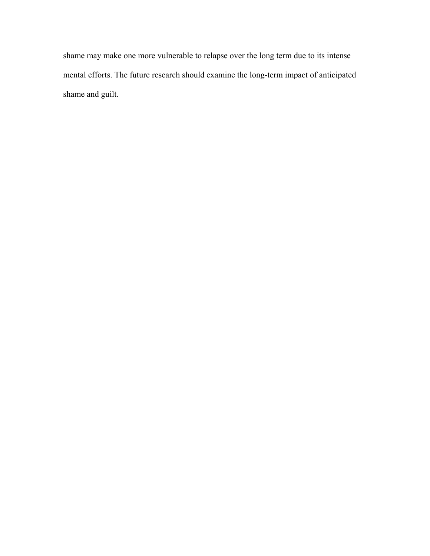shame may make one more vulnerable to relapse over the long term due to its intense mental efforts. The future research should examine the long-term impact of anticipated shame and guilt.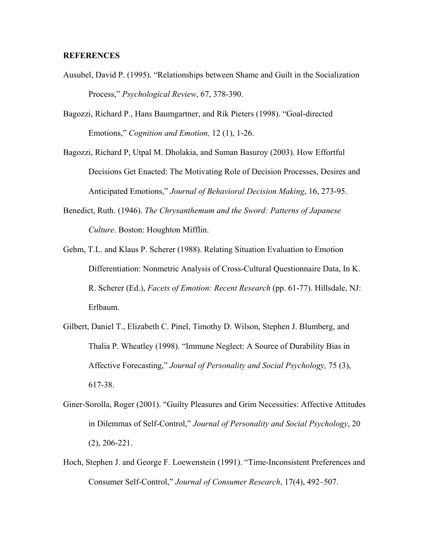# **REFERENCES**

- Ausubel, David P. (1995). "Relationships between Shame and Guilt in the Socialization Process," *Psychological Review*, 67, 378-390.
- Bagozzi, Richard P., Hans Baumgartner, and Rik Pieters (1998). "Goal-directed Emotions," *Cognition and Emotion,* 12 (1), 1-26.

Bagozzi, Richard P, Utpal M. Dholakia, and Suman Basuroy (2003). How Effortful Decisions Get Enacted: The Motivating Role of Decision Processes, Desires and Anticipated Emotions," *Journal of Behavioral Decision Making*, 16, 273-95.

- Benedict, Ruth. (1946). *The Chrysanthemum and the Sword: Patterns of Japanese Culture*. Boston: Houghton Mifflin.
- Gehm, T.L. and Klaus P. Scherer (1988). Relating Situation Evaluation to Emotion Differentiation: Nonmetric Analysis of Cross-Cultural Questionnaire Data, In K. R. Scherer (Ed.), *Facets of Emotion: Recent Research* (pp. 61-77). Hillsdale, NJ: Erlbaum.
- Gilbert, Daniel T., Elizabeth C. Pinel, Timothy D. Wilson, Stephen J. Blumberg, and Thalia P. Wheatley (1998). "Immune Neglect: A Source of Durability Bias in Affective Forecasting," *Journal of Personality and Social Psychology,* 75 (3), 617-38.
- Giner-Sorolla, Roger (2001). "Guilty Pleasures and Grim Necessities: Affective Attitudes in Dilemmas of Self-Control," *Journal of Personality and Social Psychology*, 20 (2), 206-221.
- Hoch, Stephen J. and George F. Loewenstein (1991). "Time-Inconsistent Preferences and Consumer Self-Control," *Journal of Consumer Research*, 17(4), 492–507.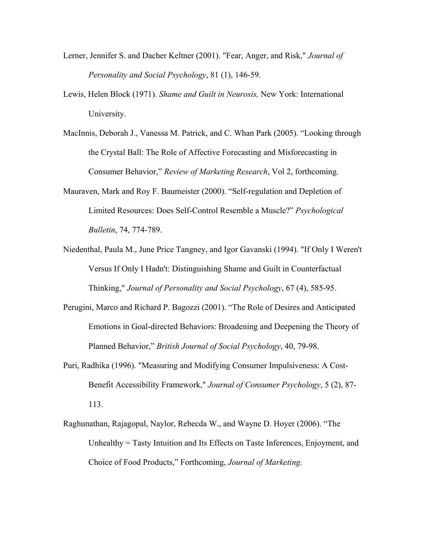- Lerner, Jennifer S. and Dacher Keltner (2001). "Fear, Anger, and Risk," *Journal of Personality and Social Psychology*, 81 (1), 146-59.
- Lewis, Helen Block (1971). *Shame and Guilt in Neurosis,* New York: International University.
- MacInnis, Deborah J., Vanessa M. Patrick, and C. Whan Park (2005). "Looking through the Crystal Ball: The Role of Affective Forecasting and Misforecasting in Consumer Behavior," *Review of Marketing Research*, Vol 2, forthcoming.
- Mauraven, Mark and Roy F. Baumeister (2000). "Self-regulation and Depletion of Limited Resources: Does Self-Control Resemble a Muscle?" *Psychological Bulletin*, 74, 774-789.
- Niedenthal, Paula M., June Price Tangney, and Igor Gavanski (1994). "If Only I Weren't Versus If Only I Hadn't: Distinguishing Shame and Guilt in Counterfactual Thinking," *Journal of Personality and Social Psychology*, 67 (4), 585-95.
- Perugini, Marco and Richard P. Bagozzi (2001). "The Role of Desires and Anticipated Emotions in Goal-directed Behaviors: Broadening and Deepening the Theory of Planned Behavior," *British Journal of Social Psychology*, 40, 79-98.
- Puri, Radhika (1996). "Measuring and Modifying Consumer Impulsiveness: A Cost-Benefit Accessibility Framework," *Journal of Consumer Psychology*, 5 (2), 87- 113.
- Raghunathan, Rajagopal, Naylor, Rebecda W., and Wayne D. Hoyer (2006). "The Unhealthy = Tasty Intuition and Its Effects on Taste Inferences, Enjoyment, and Choice of Food Products," Forthcoming, *Journal of Marketing.*